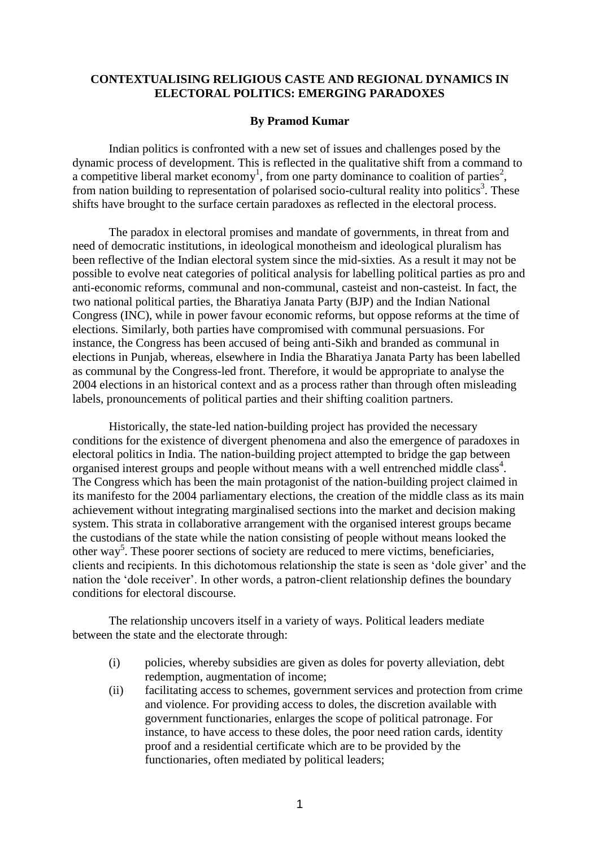# **CONTEXTUALISING RELIGIOUS CASTE AND REGIONAL DYNAMICS IN ELECTORAL POLITICS: EMERGING PARADOXES**

## **By Pramod Kumar**

Indian politics is confronted with a new set of issues and challenges posed by the dynamic process of development. This is reflected in the qualitative shift from a command to a competitive liberal market economy<sup>1</sup>, from one party dominance to coalition of parties<sup>2</sup>, from nation building to representation of polarised socio-cultural reality into politics<sup>3</sup>. These shifts have brought to the surface certain paradoxes as reflected in the electoral process.

The paradox in electoral promises and mandate of governments, in threat from and need of democratic institutions, in ideological monotheism and ideological pluralism has been reflective of the Indian electoral system since the mid-sixties. As a result it may not be possible to evolve neat categories of political analysis for labelling political parties as pro and anti-economic reforms, communal and non-communal, casteist and non-casteist. In fact, the two national political parties, the Bharatiya Janata Party (BJP) and the Indian National Congress (INC), while in power favour economic reforms, but oppose reforms at the time of elections. Similarly, both parties have compromised with communal persuasions. For instance, the Congress has been accused of being anti-Sikh and branded as communal in elections in Punjab, whereas, elsewhere in India the Bharatiya Janata Party has been labelled as communal by the Congress-led front. Therefore, it would be appropriate to analyse the 2004 elections in an historical context and as a process rather than through often misleading labels, pronouncements of political parties and their shifting coalition partners.

Historically, the state-led nation-building project has provided the necessary conditions for the existence of divergent phenomena and also the emergence of paradoxes in electoral politics in India. The nation-building project attempted to bridge the gap between organised interest groups and people without means with a well entrenched middle class<sup>4</sup>. The Congress which has been the main protagonist of the nation-building project claimed in its manifesto for the 2004 parliamentary elections, the creation of the middle class as its main achievement without integrating marginalised sections into the market and decision making system. This strata in collaborative arrangement with the organised interest groups became the custodians of the state while the nation consisting of people without means looked the other way<sup>5</sup>. These poorer sections of society are reduced to mere victims, beneficiaries, clients and recipients. In this dichotomous relationship the state is seen as "dole giver" and the nation the "dole receiver". In other words, a patron-client relationship defines the boundary conditions for electoral discourse.

The relationship uncovers itself in a variety of ways. Political leaders mediate between the state and the electorate through:

- (i) policies, whereby subsidies are given as doles for poverty alleviation, debt redemption, augmentation of income;
- (ii) facilitating access to schemes, government services and protection from crime and violence. For providing access to doles, the discretion available with government functionaries, enlarges the scope of political patronage. For instance, to have access to these doles, the poor need ration cards, identity proof and a residential certificate which are to be provided by the functionaries, often mediated by political leaders;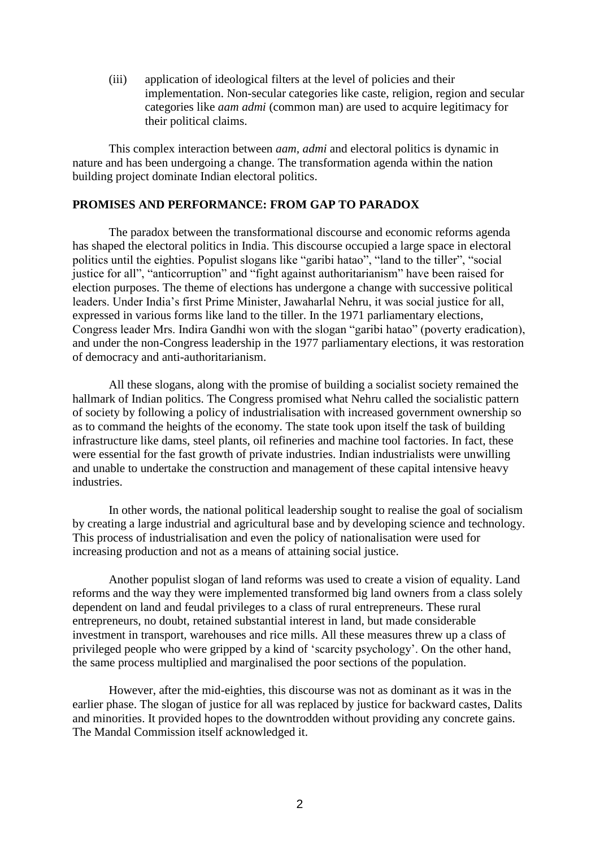(iii) application of ideological filters at the level of policies and their implementation. Non-secular categories like caste, religion, region and secular categories like *aam admi* (common man) are used to acquire legitimacy for their political claims.

This complex interaction between *aam, admi* and electoral politics is dynamic in nature and has been undergoing a change. The transformation agenda within the nation building project dominate Indian electoral politics.

# **PROMISES AND PERFORMANCE: FROM GAP TO PARADOX**

The paradox between the transformational discourse and economic reforms agenda has shaped the electoral politics in India. This discourse occupied a large space in electoral politics until the eighties. Populist slogans like "garibi hatao", "land to the tiller", "social justice for all", "anticorruption" and "fight against authoritarianism" have been raised for election purposes. The theme of elections has undergone a change with successive political leaders. Under India"s first Prime Minister, Jawaharlal Nehru, it was social justice for all, expressed in various forms like land to the tiller. In the 1971 parliamentary elections, Congress leader Mrs. Indira Gandhi won with the slogan "garibi hatao" (poverty eradication), and under the non-Congress leadership in the 1977 parliamentary elections, it was restoration of democracy and anti-authoritarianism.

All these slogans, along with the promise of building a socialist society remained the hallmark of Indian politics. The Congress promised what Nehru called the socialistic pattern of society by following a policy of industrialisation with increased government ownership so as to command the heights of the economy. The state took upon itself the task of building infrastructure like dams, steel plants, oil refineries and machine tool factories. In fact, these were essential for the fast growth of private industries. Indian industrialists were unwilling and unable to undertake the construction and management of these capital intensive heavy industries.

In other words, the national political leadership sought to realise the goal of socialism by creating a large industrial and agricultural base and by developing science and technology. This process of industrialisation and even the policy of nationalisation were used for increasing production and not as a means of attaining social justice.

Another populist slogan of land reforms was used to create a vision of equality. Land reforms and the way they were implemented transformed big land owners from a class solely dependent on land and feudal privileges to a class of rural entrepreneurs. These rural entrepreneurs, no doubt, retained substantial interest in land, but made considerable investment in transport, warehouses and rice mills. All these measures threw up a class of privileged people who were gripped by a kind of "scarcity psychology". On the other hand, the same process multiplied and marginalised the poor sections of the population.

However, after the mid-eighties, this discourse was not as dominant as it was in the earlier phase. The slogan of justice for all was replaced by justice for backward castes, Dalits and minorities. It provided hopes to the downtrodden without providing any concrete gains. The Mandal Commission itself acknowledged it.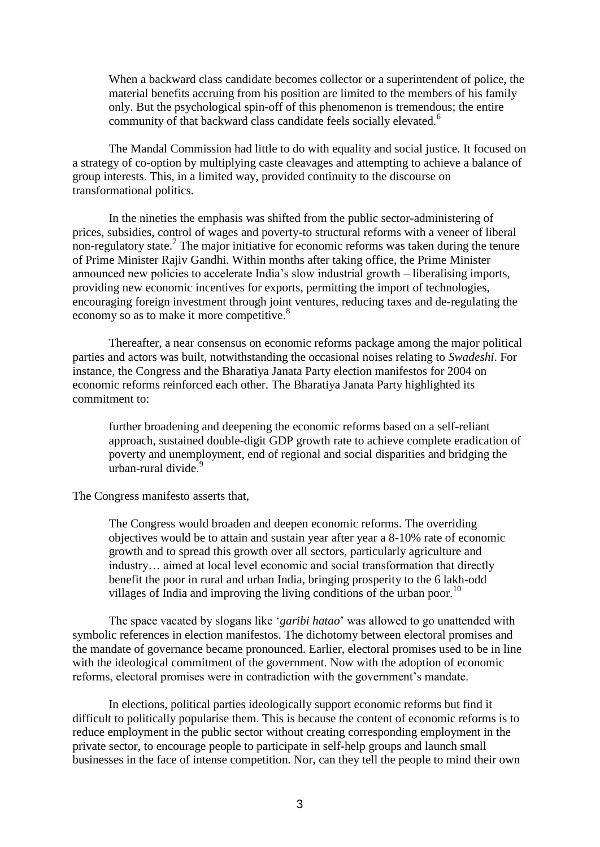When a backward class candidate becomes collector or a superintendent of police, the material benefits accruing from his position are limited to the members of his family only. But the psychological spin-off of this phenomenon is tremendous; the entire community of that backward class candidate feels socially elevated.<sup>6</sup>

The Mandal Commission had little to do with equality and social justice. It focused on a strategy of co-option by multiplying caste cleavages and attempting to achieve a balance of group interests. This, in a limited way, provided continuity to the discourse on transformational politics.

In the nineties the emphasis was shifted from the public sector-administering of prices, subsidies, control of wages and poverty-to structural reforms with a veneer of liberal non-regulatory state.<sup>7</sup> The major initiative for economic reforms was taken during the tenure of Prime Minister Rajiv Gandhi. Within months after taking office, the Prime Minister announced new policies to accelerate India"s slow industrial growth – liberalising imports, providing new economic incentives for exports, permitting the import of technologies, encouraging foreign investment through joint ventures, reducing taxes and de-regulating the economy so as to make it more competitive.<sup>8</sup>

Thereafter, a near consensus on economic reforms package among the major political parties and actors was built, notwithstanding the occasional noises relating to *Swadeshi*. For instance, the Congress and the Bharatiya Janata Party election manifestos for 2004 on economic reforms reinforced each other. The Bharatiya Janata Party highlighted its commitment to:

further broadening and deepening the economic reforms based on a self-reliant approach, sustained double-digit GDP growth rate to achieve complete eradication of poverty and unemployment, end of regional and social disparities and bridging the urban-rural divide. $9$ 

The Congress manifesto asserts that,

The Congress would broaden and deepen economic reforms. The overriding objectives would be to attain and sustain year after year a 8-10% rate of economic growth and to spread this growth over all sectors, particularly agriculture and industry… aimed at local level economic and social transformation that directly benefit the poor in rural and urban India, bringing prosperity to the 6 lakh-odd villages of India and improving the living conditions of the urban poor.<sup>10</sup>

The space vacated by slogans like "*garibi hatao*" was allowed to go unattended with symbolic references in election manifestos. The dichotomy between electoral promises and the mandate of governance became pronounced. Earlier, electoral promises used to be in line with the ideological commitment of the government. Now with the adoption of economic reforms, electoral promises were in contradiction with the government's mandate.

In elections, political parties ideologically support economic reforms but find it difficult to politically popularise them. This is because the content of economic reforms is to reduce employment in the public sector without creating corresponding employment in the private sector, to encourage people to participate in self-help groups and launch small businesses in the face of intense competition. Nor, can they tell the people to mind their own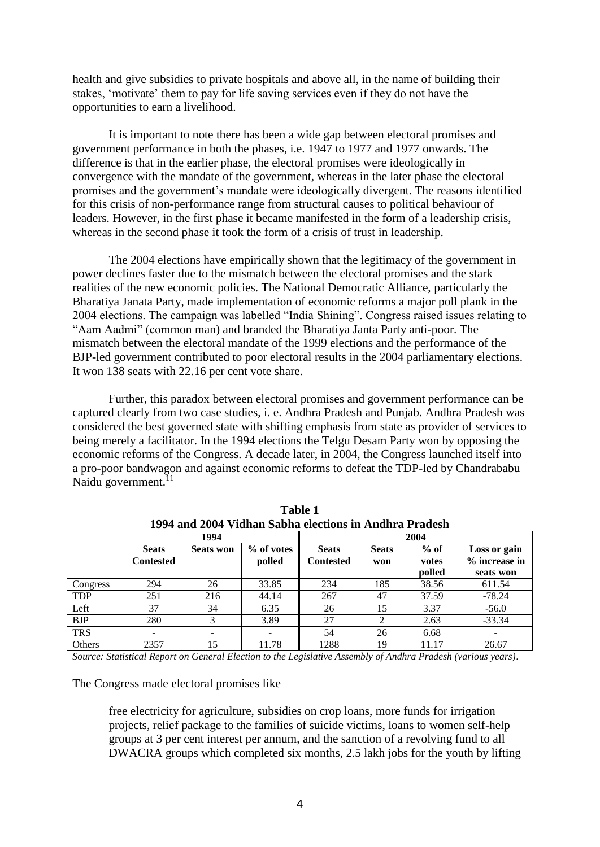health and give subsidies to private hospitals and above all, in the name of building their stakes, "motivate" them to pay for life saving services even if they do not have the opportunities to earn a livelihood.

It is important to note there has been a wide gap between electoral promises and government performance in both the phases, i.e. 1947 to 1977 and 1977 onwards. The difference is that in the earlier phase, the electoral promises were ideologically in convergence with the mandate of the government, whereas in the later phase the electoral promises and the government"s mandate were ideologically divergent. The reasons identified for this crisis of non-performance range from structural causes to political behaviour of leaders. However, in the first phase it became manifested in the form of a leadership crisis, whereas in the second phase it took the form of a crisis of trust in leadership.

The 2004 elections have empirically shown that the legitimacy of the government in power declines faster due to the mismatch between the electoral promises and the stark realities of the new economic policies. The National Democratic Alliance, particularly the Bharatiya Janata Party, made implementation of economic reforms a major poll plank in the 2004 elections. The campaign was labelled "India Shining". Congress raised issues relating to "Aam Aadmi" (common man) and branded the Bharatiya Janta Party anti-poor. The mismatch between the electoral mandate of the 1999 elections and the performance of the BJP-led government contributed to poor electoral results in the 2004 parliamentary elections. It won 138 seats with 22.16 per cent vote share.

Further, this paradox between electoral promises and government performance can be captured clearly from two case studies, i. e. Andhra Pradesh and Punjab. Andhra Pradesh was considered the best governed state with shifting emphasis from state as provider of services to being merely a facilitator. In the 1994 elections the Telgu Desam Party won by opposing the economic reforms of the Congress. A decade later, in 2004, the Congress launched itself into a pro-poor bandwagon and against economic reforms to defeat the TDP-led by Chandrababu Naidu government.<sup>11</sup>

|            | 1994                             |                  |                      | 2004                      |                     |                           |                                            |  |
|------------|----------------------------------|------------------|----------------------|---------------------------|---------------------|---------------------------|--------------------------------------------|--|
|            | <b>Seats</b><br><b>Contested</b> | <b>Seats won</b> | % of votes<br>polled | <b>Seats</b><br>Contested | <b>Seats</b><br>won | $%$ of<br>votes<br>polled | Loss or gain<br>% increase in<br>seats won |  |
| Congress   | 294                              | 26               | 33.85                | 234                       | 185                 | 38.56                     | 611.54                                     |  |
| <b>TDP</b> | 251                              | 216              | 44.14                | 267                       | 47                  | 37.59                     | $-78.24$                                   |  |
| Left       | 37                               | 34               | 6.35                 | 26                        | 15                  | 3.37                      | $-56.0$                                    |  |
| <b>BJP</b> | 280                              |                  | 3.89                 | 27                        | ◠                   | 2.63                      | $-33.34$                                   |  |
| <b>TRS</b> |                                  |                  |                      | 54                        | 26                  | 6.68                      |                                            |  |
| Others     | 2357                             | 15               | 11.78                | 1288                      | 19                  | 11.17                     | 26.67                                      |  |

**Table 1 1994 and 2004 Vidhan Sabha elections in Andhra Pradesh**

*Source: Statistical Report on General Election to the Legislative Assembly of Andhra Pradesh (various years)*.

The Congress made electoral promises like

free electricity for agriculture, subsidies on crop loans, more funds for irrigation projects, relief package to the families of suicide victims, loans to women self-help groups at 3 per cent interest per annum, and the sanction of a revolving fund to all DWACRA groups which completed six months, 2.5 lakh jobs for the youth by lifting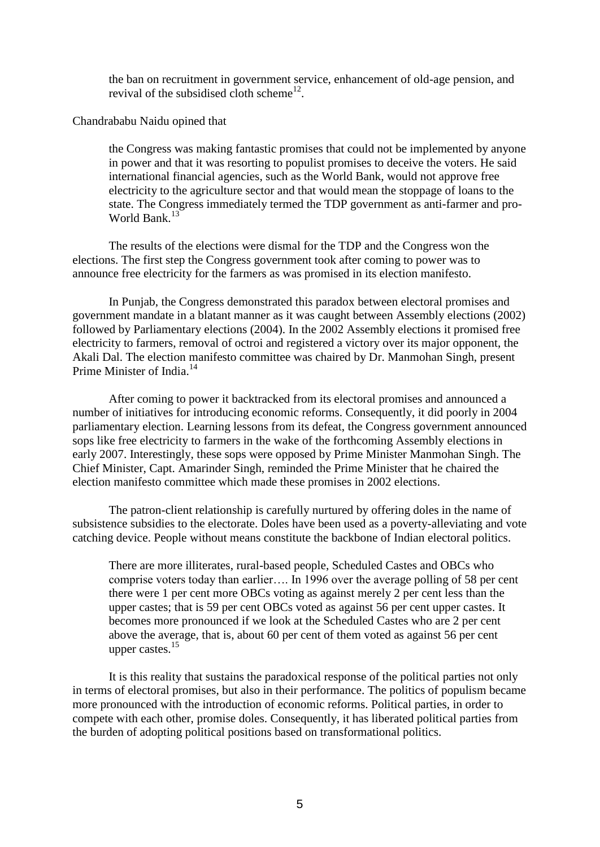the ban on recruitment in government service, enhancement of old-age pension, and revival of the subsidised cloth scheme<sup>12</sup>.

## Chandrababu Naidu opined that

the Congress was making fantastic promises that could not be implemented by anyone in power and that it was resorting to populist promises to deceive the voters. He said international financial agencies, such as the World Bank, would not approve free electricity to the agriculture sector and that would mean the stoppage of loans to the state. The Congress immediately termed the TDP government as anti-farmer and pro-World Bank.<sup>13</sup>

The results of the elections were dismal for the TDP and the Congress won the elections. The first step the Congress government took after coming to power was to announce free electricity for the farmers as was promised in its election manifesto.

In Punjab, the Congress demonstrated this paradox between electoral promises and government mandate in a blatant manner as it was caught between Assembly elections (2002) followed by Parliamentary elections (2004). In the 2002 Assembly elections it promised free electricity to farmers, removal of octroi and registered a victory over its major opponent, the Akali Dal. The election manifesto committee was chaired by Dr. Manmohan Singh, present Prime Minister of India.<sup>14</sup>

After coming to power it backtracked from its electoral promises and announced a number of initiatives for introducing economic reforms. Consequently, it did poorly in 2004 parliamentary election. Learning lessons from its defeat, the Congress government announced sops like free electricity to farmers in the wake of the forthcoming Assembly elections in early 2007. Interestingly, these sops were opposed by Prime Minister Manmohan Singh. The Chief Minister, Capt. Amarinder Singh, reminded the Prime Minister that he chaired the election manifesto committee which made these promises in 2002 elections.

The patron-client relationship is carefully nurtured by offering doles in the name of subsistence subsidies to the electorate. Doles have been used as a poverty-alleviating and vote catching device. People without means constitute the backbone of Indian electoral politics.

There are more illiterates, rural-based people, Scheduled Castes and OBCs who comprise voters today than earlier…. In 1996 over the average polling of 58 per cent there were 1 per cent more OBCs voting as against merely 2 per cent less than the upper castes; that is 59 per cent OBCs voted as against 56 per cent upper castes. It becomes more pronounced if we look at the Scheduled Castes who are 2 per cent above the average, that is, about 60 per cent of them voted as against 56 per cent upper castes.<sup>15</sup>

It is this reality that sustains the paradoxical response of the political parties not only in terms of electoral promises, but also in their performance. The politics of populism became more pronounced with the introduction of economic reforms. Political parties, in order to compete with each other, promise doles. Consequently, it has liberated political parties from the burden of adopting political positions based on transformational politics.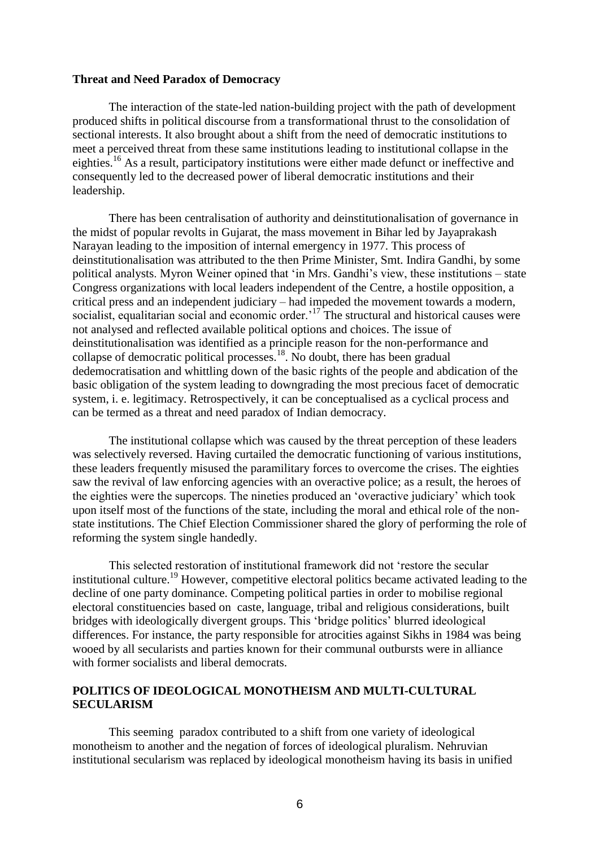#### **Threat and Need Paradox of Democracy**

The interaction of the state-led nation-building project with the path of development produced shifts in political discourse from a transformational thrust to the consolidation of sectional interests. It also brought about a shift from the need of democratic institutions to meet a perceived threat from these same institutions leading to institutional collapse in the eighties.<sup>16</sup> As a result, participatory institutions were either made defunct or ineffective and consequently led to the decreased power of liberal democratic institutions and their leadership.

There has been centralisation of authority and deinstitutionalisation of governance in the midst of popular revolts in Gujarat, the mass movement in Bihar led by Jayaprakash Narayan leading to the imposition of internal emergency in 1977. This process of deinstitutionalisation was attributed to the then Prime Minister, Smt. Indira Gandhi, by some political analysts. Myron Weiner opined that "in Mrs. Gandhi"s view, these institutions – state Congress organizations with local leaders independent of the Centre, a hostile opposition, a critical press and an independent judiciary – had impeded the movement towards a modern, socialist, equalitarian social and economic order.<sup>17</sup> The structural and historical causes were not analysed and reflected available political options and choices. The issue of deinstitutionalisation was identified as a principle reason for the non-performance and collapse of democratic political processes.<sup>18</sup>. No doubt, there has been gradual dedemocratisation and whittling down of the basic rights of the people and abdication of the basic obligation of the system leading to downgrading the most precious facet of democratic system, i. e. legitimacy. Retrospectively, it can be conceptualised as a cyclical process and can be termed as a threat and need paradox of Indian democracy.

The institutional collapse which was caused by the threat perception of these leaders was selectively reversed. Having curtailed the democratic functioning of various institutions, these leaders frequently misused the paramilitary forces to overcome the crises. The eighties saw the revival of law enforcing agencies with an overactive police; as a result, the heroes of the eighties were the supercops. The nineties produced an "overactive judiciary" which took upon itself most of the functions of the state, including the moral and ethical role of the nonstate institutions. The Chief Election Commissioner shared the glory of performing the role of reforming the system single handedly.

This selected restoration of institutional framework did not "restore the secular institutional culture.<sup>19</sup> However, competitive electoral politics became activated leading to the decline of one party dominance. Competing political parties in order to mobilise regional electoral constituencies based on caste, language, tribal and religious considerations, built bridges with ideologically divergent groups. This "bridge politics" blurred ideological differences. For instance, the party responsible for atrocities against Sikhs in 1984 was being wooed by all secularists and parties known for their communal outbursts were in alliance with former socialists and liberal democrats.

# **POLITICS OF IDEOLOGICAL MONOTHEISM AND MULTI-CULTURAL SECULARISM**

This seeming paradox contributed to a shift from one variety of ideological monotheism to another and the negation of forces of ideological pluralism. Nehruvian institutional secularism was replaced by ideological monotheism having its basis in unified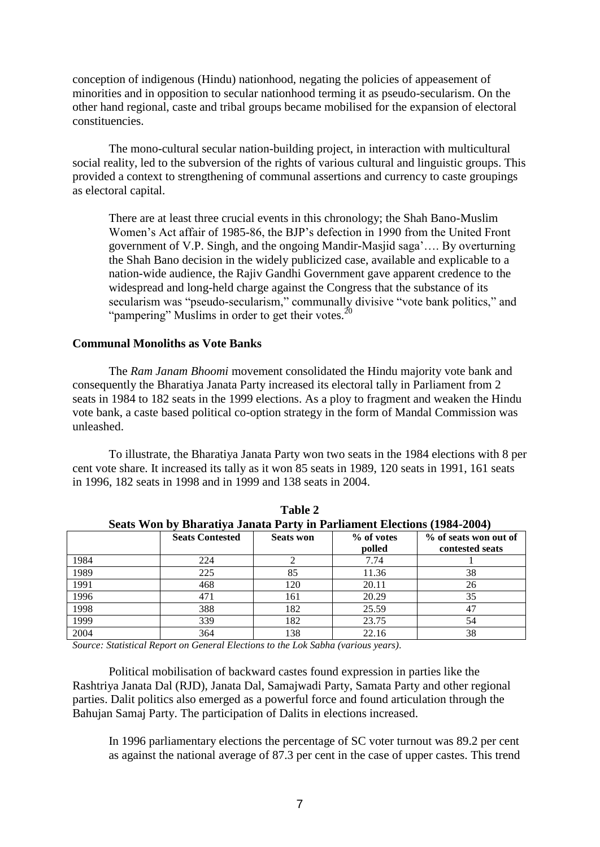conception of indigenous (Hindu) nationhood, negating the policies of appeasement of minorities and in opposition to secular nationhood terming it as pseudo-secularism. On the other hand regional, caste and tribal groups became mobilised for the expansion of electoral constituencies.

The mono-cultural secular nation-building project, in interaction with multicultural social reality, led to the subversion of the rights of various cultural and linguistic groups. This provided a context to strengthening of communal assertions and currency to caste groupings as electoral capital.

There are at least three crucial events in this chronology; the Shah Bano-Muslim Women"s Act affair of 1985-86, the BJP"s defection in 1990 from the United Front government of V.P. Singh, and the ongoing Mandir-Masjid saga"…. By overturning the Shah Bano decision in the widely publicized case, available and explicable to a nation-wide audience, the Rajiv Gandhi Government gave apparent credence to the widespread and long-held charge against the Congress that the substance of its secularism was "pseudo-secularism," communally divisive "vote bank politics," and "pampering" Muslims in order to get their votes. $^{20}$ 

## **Communal Monoliths as Vote Banks**

The *Ram Janam Bhoomi* movement consolidated the Hindu majority vote bank and consequently the Bharatiya Janata Party increased its electoral tally in Parliament from 2 seats in 1984 to 182 seats in the 1999 elections. As a ploy to fragment and weaken the Hindu vote bank, a caste based political co-option strategy in the form of Mandal Commission was unleashed.

To illustrate, the Bharatiya Janata Party won two seats in the 1984 elections with 8 per cent vote share. It increased its tally as it won 85 seats in 1989, 120 seats in 1991, 161 seats in 1996, 182 seats in 1998 and in 1999 and 138 seats in 2004.

| Seats won by Bharatiya Janata Party in Parilament Elections (1984-2004) |                        |                  |            |                       |  |  |  |  |
|-------------------------------------------------------------------------|------------------------|------------------|------------|-----------------------|--|--|--|--|
|                                                                         | <b>Seats Contested</b> | <b>Seats won</b> | % of votes | % of seats won out of |  |  |  |  |
|                                                                         |                        |                  | polled     | contested seats       |  |  |  |  |
| 1984                                                                    | 224                    |                  | 7.74       |                       |  |  |  |  |
| 1989                                                                    | 225                    | 85               | 11.36      | 38                    |  |  |  |  |
| 1991                                                                    | 468                    | 120              | 20.11      | 26                    |  |  |  |  |
| 1996                                                                    | 471                    | 161              | 20.29      | 35                    |  |  |  |  |
| 1998                                                                    | 388                    | 182              | 25.59      | 47                    |  |  |  |  |
| 1999                                                                    | 339                    | 182              | 23.75      | 54                    |  |  |  |  |
| 2004                                                                    | 364                    | 138              | 22.16      | 38                    |  |  |  |  |

**Table 2 Seats Won by Bharatiya Janata Party in Parliament Elections (1984-2004)**

*Source: Statistical Report on General Elections to the Lok Sabha (various years)*.

Political mobilisation of backward castes found expression in parties like the Rashtriya Janata Dal (RJD), Janata Dal, Samajwadi Party, Samata Party and other regional parties. Dalit politics also emerged as a powerful force and found articulation through the Bahujan Samaj Party. The participation of Dalits in elections increased.

In 1996 parliamentary elections the percentage of SC voter turnout was 89.2 per cent as against the national average of 87.3 per cent in the case of upper castes. This trend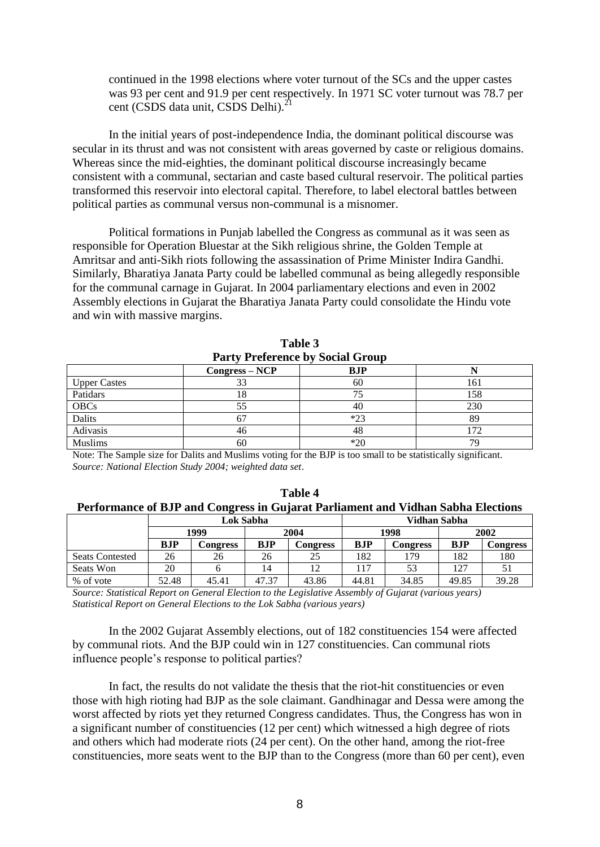continued in the 1998 elections where voter turnout of the SCs and the upper castes was 93 per cent and 91.9 per cent respectively. In 1971 SC voter turnout was 78.7 per cent (CSDS data unit, CSDS Delhi).<sup>21</sup>

In the initial years of post-independence India, the dominant political discourse was secular in its thrust and was not consistent with areas governed by caste or religious domains. Whereas since the mid-eighties, the dominant political discourse increasingly became consistent with a communal, sectarian and caste based cultural reservoir. The political parties transformed this reservoir into electoral capital. Therefore, to label electoral battles between political parties as communal versus non-communal is a misnomer.

Political formations in Punjab labelled the Congress as communal as it was seen as responsible for Operation Bluestar at the Sikh religious shrine, the Golden Temple at Amritsar and anti-Sikh riots following the assassination of Prime Minister Indira Gandhi. Similarly, Bharatiya Janata Party could be labelled communal as being allegedly responsible for the communal carnage in Gujarat. In 2004 parliamentary elections and even in 2002 Assembly elections in Gujarat the Bharatiya Janata Party could consolidate the Hindu vote and win with massive margins.

| Tarty Trendence by Doctar Group |                  |       |     |  |  |  |  |
|---------------------------------|------------------|-------|-----|--|--|--|--|
|                                 | $Congress - NCP$ | BJP   |     |  |  |  |  |
| <b>Upper Castes</b>             |                  | 60    | 161 |  |  |  |  |
| Patidars                        | $\circ$          |       | 158 |  |  |  |  |
| <b>OBCs</b>                     |                  | 4U    | 230 |  |  |  |  |
| <b>Dalits</b>                   |                  | $*23$ | 89  |  |  |  |  |
| Adivasis                        | 46               | 48    | 72  |  |  |  |  |
| <b>Muslims</b>                  | 60               | $*20$ | 79  |  |  |  |  |

**Table 3 Party Preference by Social Group**

Note: The Sample size for Dalits and Muslims voting for the BJP is too small to be statistically significant. *Source: National Election Study 2004; weighted data set*.

| $\overline{\phantom{a}}$ |           |          |       |          |              |          |       |          |  |
|--------------------------|-----------|----------|-------|----------|--------------|----------|-------|----------|--|
|                          | Lok Sabha |          |       |          | Vidhan Sabha |          |       |          |  |
|                          | 1999      |          | 2004  |          | 1998         |          | 2002  |          |  |
|                          | BJP       | Congress | BJP   | Congress | BJP          | Congress | BJP   | Congress |  |
| <b>Seats Contested</b>   | 26        | 26       | 26    | 25       | 182          | 179      | 182   | 180      |  |
| Seats Won                | 20        |          | 14    | 12       | 117          | 53       | 127   |          |  |
| % of vote                | 52.48     | 45.41    | 47.37 | 43.86    | 44.81        | 34.85    | 49.85 | 39.28    |  |

**Table 4 Performance of BJP and Congress in Gujarat Parliament and Vidhan Sabha Elections**

*Source: Statistical Report on General Election to the Legislative Assembly of Gujarat (various years) Statistical Report on General Elections to the Lok Sabha (various years)*

In the 2002 Gujarat Assembly elections, out of 182 constituencies 154 were affected by communal riots. And the BJP could win in 127 constituencies. Can communal riots influence people"s response to political parties?

In fact, the results do not validate the thesis that the riot-hit constituencies or even those with high rioting had BJP as the sole claimant. Gandhinagar and Dessa were among the worst affected by riots yet they returned Congress candidates. Thus, the Congress has won in a significant number of constituencies (12 per cent) which witnessed a high degree of riots and others which had moderate riots (24 per cent). On the other hand, among the riot-free constituencies, more seats went to the BJP than to the Congress (more than 60 per cent), even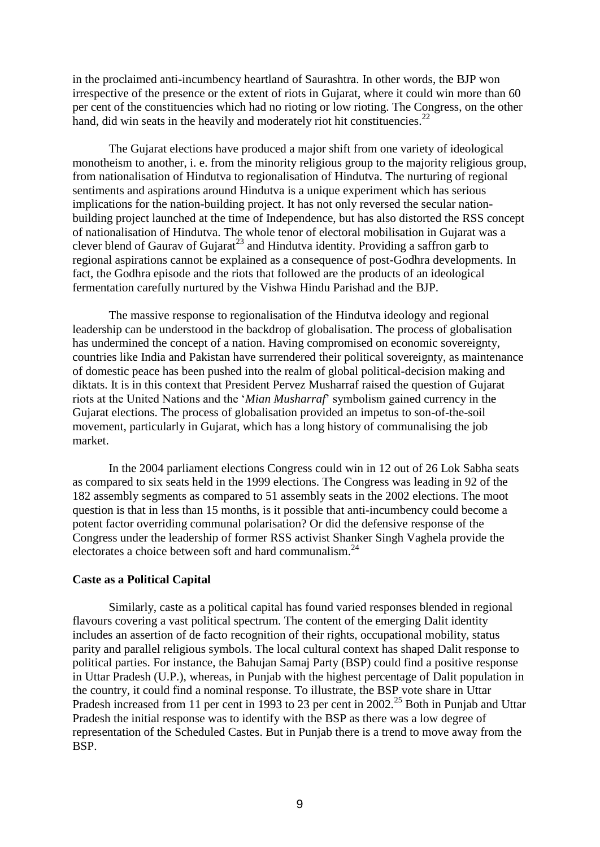in the proclaimed anti-incumbency heartland of Saurashtra. In other words, the BJP won irrespective of the presence or the extent of riots in Gujarat, where it could win more than 60 per cent of the constituencies which had no rioting or low rioting. The Congress, on the other hand, did win seats in the heavily and moderately riot hit constituencies.<sup>22</sup>

The Gujarat elections have produced a major shift from one variety of ideological monotheism to another, i. e. from the minority religious group to the majority religious group, from nationalisation of Hindutva to regionalisation of Hindutva. The nurturing of regional sentiments and aspirations around Hindutva is a unique experiment which has serious implications for the nation-building project. It has not only reversed the secular nationbuilding project launched at the time of Independence, but has also distorted the RSS concept of nationalisation of Hindutva. The whole tenor of electoral mobilisation in Gujarat was a clever blend of Gaurav of Gujarat<sup>23</sup> and Hindutva identity. Providing a saffron garb to regional aspirations cannot be explained as a consequence of post-Godhra developments. In fact, the Godhra episode and the riots that followed are the products of an ideological fermentation carefully nurtured by the Vishwa Hindu Parishad and the BJP.

The massive response to regionalisation of the Hindutva ideology and regional leadership can be understood in the backdrop of globalisation. The process of globalisation has undermined the concept of a nation. Having compromised on economic sovereignty, countries like India and Pakistan have surrendered their political sovereignty, as maintenance of domestic peace has been pushed into the realm of global political-decision making and diktats. It is in this context that President Pervez Musharraf raised the question of Gujarat riots at the United Nations and the "*Mian Musharraf*" symbolism gained currency in the Gujarat elections. The process of globalisation provided an impetus to son-of-the-soil movement, particularly in Gujarat, which has a long history of communalising the job market.

In the 2004 parliament elections Congress could win in 12 out of 26 Lok Sabha seats as compared to six seats held in the 1999 elections. The Congress was leading in 92 of the 182 assembly segments as compared to 51 assembly seats in the 2002 elections. The moot question is that in less than 15 months, is it possible that anti-incumbency could become a potent factor overriding communal polarisation? Or did the defensive response of the Congress under the leadership of former RSS activist Shanker Singh Vaghela provide the electorates a choice between soft and hard communalism.<sup>24</sup>

# **Caste as a Political Capital**

Similarly, caste as a political capital has found varied responses blended in regional flavours covering a vast political spectrum. The content of the emerging Dalit identity includes an assertion of de facto recognition of their rights, occupational mobility, status parity and parallel religious symbols. The local cultural context has shaped Dalit response to political parties. For instance, the Bahujan Samaj Party (BSP) could find a positive response in Uttar Pradesh (U.P.), whereas, in Punjab with the highest percentage of Dalit population in the country, it could find a nominal response. To illustrate, the BSP vote share in Uttar Pradesh increased from 11 per cent in 1993 to 23 per cent in 2002.<sup>25</sup> Both in Punjab and Uttar Pradesh the initial response was to identify with the BSP as there was a low degree of representation of the Scheduled Castes. But in Punjab there is a trend to move away from the BSP.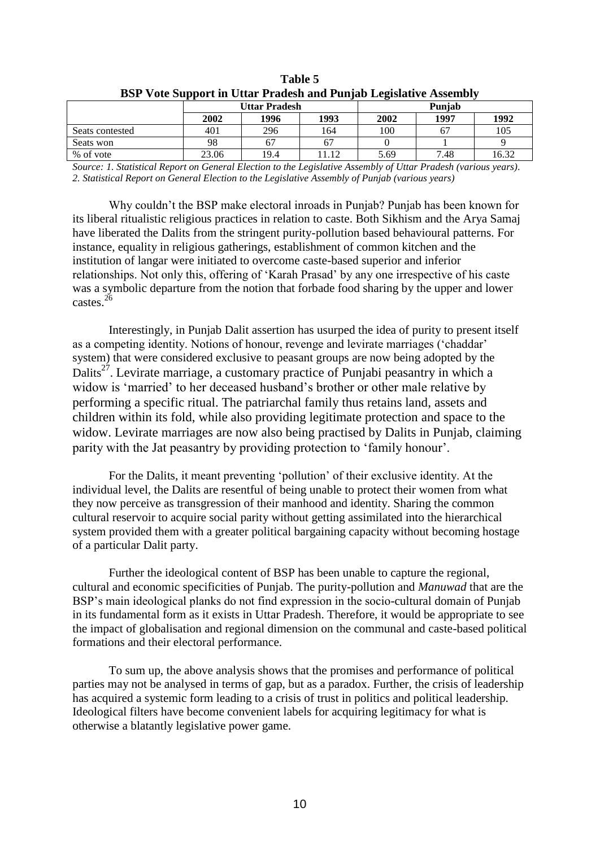| BSP vote support in Ottar Pragesh and Punjab Legislative Assembly |                      |      |      |        |      |       |  |
|-------------------------------------------------------------------|----------------------|------|------|--------|------|-------|--|
|                                                                   | <b>Uttar Pradesh</b> |      |      | Puniab |      |       |  |
|                                                                   | 2002                 | 1996 | 1993 | 2002   | 1997 | 1992  |  |
| Seats contested                                                   | 401                  | 296  | 164  | 100    | 67   | 105   |  |
| Seats won                                                         | 98                   | 67   |      |        |      |       |  |
| % of vote                                                         | 23.06                | 19.4 | 1.12 | 5.69   | 7.48 | 16.32 |  |

**Table 5 BSP Vote Support in Uttar Pradesh and Punjab Legislative Assembly**

*Source: 1. Statistical Report on General Election to the Legislative Assembly of Uttar Pradesh (various years)*. *2. Statistical Report on General Election to the Legislative Assembly of Punjab (various years)*

Why couldn"t the BSP make electoral inroads in Punjab? Punjab has been known for its liberal ritualistic religious practices in relation to caste. Both Sikhism and the Arya Samaj have liberated the Dalits from the stringent purity-pollution based behavioural patterns. For instance, equality in religious gatherings, establishment of common kitchen and the institution of langar were initiated to overcome caste-based superior and inferior relationships. Not only this, offering of "Karah Prasad" by any one irrespective of his caste was a symbolic departure from the notion that forbade food sharing by the upper and lower castes. $^{26}$ 

Interestingly, in Punjab Dalit assertion has usurped the idea of purity to present itself as a competing identity. Notions of honour, revenge and levirate marriages ("chaddar" system) that were considered exclusive to peasant groups are now being adopted by the Dalits<sup>27</sup>. Levirate marriage, a customary practice of Punjabi peasantry in which a widow is 'married' to her deceased husband's brother or other male relative by performing a specific ritual. The patriarchal family thus retains land, assets and children within its fold, while also providing legitimate protection and space to the widow. Levirate marriages are now also being practised by Dalits in Punjab, claiming parity with the Jat peasantry by providing protection to "family honour".

For the Dalits, it meant preventing "pollution" of their exclusive identity. At the individual level, the Dalits are resentful of being unable to protect their women from what they now perceive as transgression of their manhood and identity. Sharing the common cultural reservoir to acquire social parity without getting assimilated into the hierarchical system provided them with a greater political bargaining capacity without becoming hostage of a particular Dalit party.

Further the ideological content of BSP has been unable to capture the regional, cultural and economic specificities of Punjab. The purity-pollution and *Manuwad* that are the BSP"s main ideological planks do not find expression in the socio-cultural domain of Punjab in its fundamental form as it exists in Uttar Pradesh. Therefore, it would be appropriate to see the impact of globalisation and regional dimension on the communal and caste-based political formations and their electoral performance.

To sum up, the above analysis shows that the promises and performance of political parties may not be analysed in terms of gap, but as a paradox. Further, the crisis of leadership has acquired a systemic form leading to a crisis of trust in politics and political leadership. Ideological filters have become convenient labels for acquiring legitimacy for what is otherwise a blatantly legislative power game.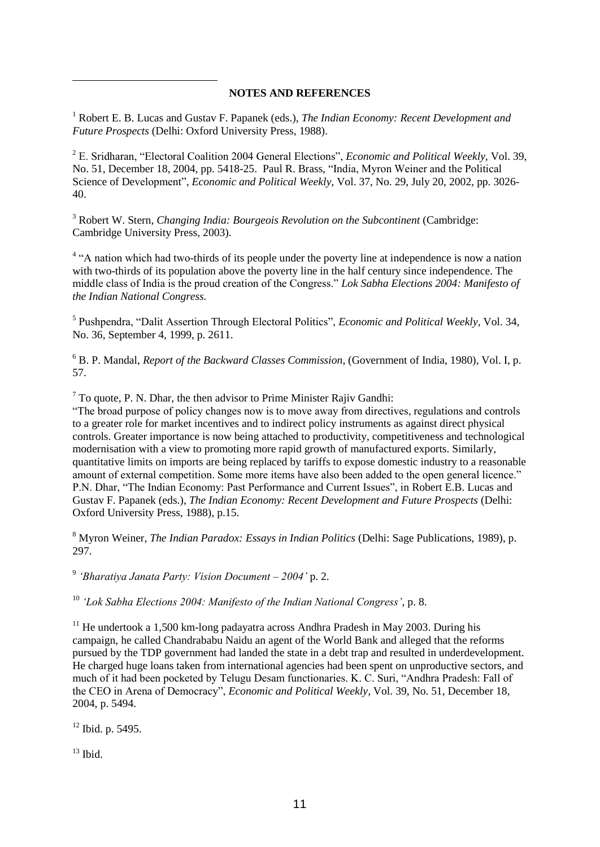## **NOTES AND REFERENCES**

<sup>1</sup> Robert E. B. Lucas and Gustav F. Papanek (eds.), *The Indian Economy: Recent Development and Future Prospects* (Delhi: Oxford University Press, 1988).

<sup>2</sup> E. Sridharan, "Electoral Coalition 2004 General Elections", *Economic and Political Weekly,* Vol. 39, No. 51, December 18, 2004, pp. 5418-25. Paul R. Brass, "India, Myron Weiner and the Political Science of Development", *Economic and Political Weekly,* Vol. 37, No. 29, July 20, 2002, pp. 3026- 40.

<sup>3</sup> Robert W. Stern, *Changing India: Bourgeois Revolution on the Subcontinent* (Cambridge: Cambridge University Press, 2003).

<sup>4</sup> "A nation which had two-thirds of its people under the poverty line at independence is now a nation with two-thirds of its population above the poverty line in the half century since independence. The middle class of India is the proud creation of the Congress." *Lok Sabha Elections 2004: Manifesto of the Indian National Congress.*

5 Pushpendra, "Dalit Assertion Through Electoral Politics", *Economic and Political Weekly,* Vol. 34, No. 36, September 4, 1999, p. 2611.

<sup>6</sup> B. P. Mandal, *Report of the Backward Classes Commission*, (Government of India, 1980), Vol. I, p. 57.

 $7$  To quote, P. N. Dhar, the then advisor to Prime Minister Rajiv Gandhi:

"The broad purpose of policy changes now is to move away from directives, regulations and controls to a greater role for market incentives and to indirect policy instruments as against direct physical controls. Greater importance is now being attached to productivity, competitiveness and technological modernisation with a view to promoting more rapid growth of manufactured exports. Similarly, quantitative limits on imports are being replaced by tariffs to expose domestic industry to a reasonable amount of external competition. Some more items have also been added to the open general licence." P.N. Dhar, "The Indian Economy: Past Performance and Current Issues", in Robert E.B. Lucas and Gustav F. Papanek (eds.), *The Indian Economy: Recent Development and Future Prospects* (Delhi: Oxford University Press, 1988), p.15.

<sup>8</sup> Myron Weiner, *The Indian Paradox: Essays in Indian Politics* (Delhi: Sage Publications, 1989), p. 297.

9 *'Bharatiya Janata Party: Vision Document – 2004'* p. 2.

<sup>10</sup> *'Lok Sabha Elections 2004: Manifesto of the Indian National Congress'*, p. 8.

 $11$  He undertook a 1,500 km-long padayatra across Andhra Pradesh in May 2003. During his campaign, he called Chandrababu Naidu an agent of the World Bank and alleged that the reforms pursued by the TDP government had landed the state in a debt trap and resulted in underdevelopment. He charged huge loans taken from international agencies had been spent on unproductive sectors, and much of it had been pocketed by Telugu Desam functionaries. K. C. Suri, "Andhra Pradesh: Fall of the CEO in Arena of Democracy", *Economic and Political Weekly*, Vol. 39, No. 51, December 18, 2004, p. 5494.

<sup>12</sup> Ibid. p. 5495.

 $13$  Ibid.

<u>.</u>